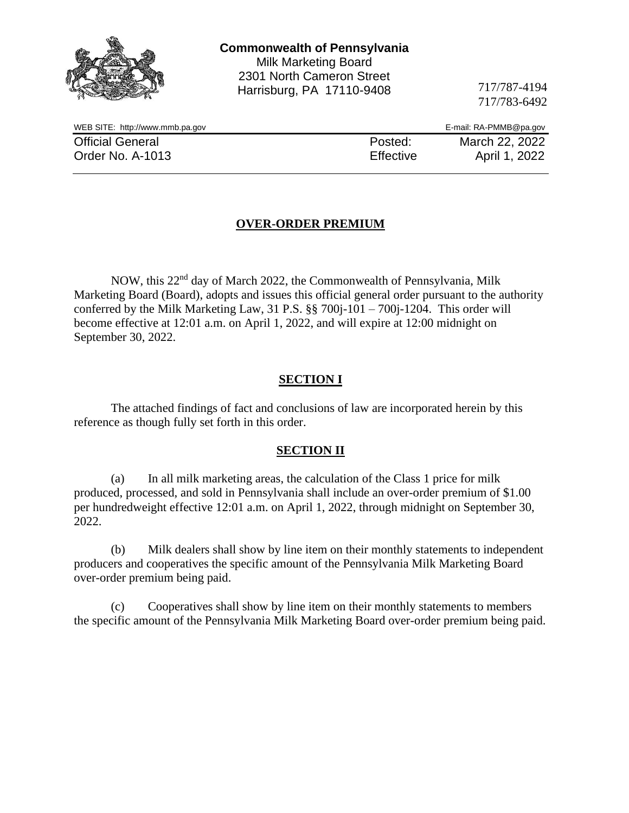|                                 | <b>Commonwealth of Pennsylvania</b><br><b>Milk Marketing Board</b><br>2301 North Cameron Street<br>Harrisburg, PA 17110-9408 | 717/787-4194<br>717/783-6492 |
|---------------------------------|------------------------------------------------------------------------------------------------------------------------------|------------------------------|
| WEB SITE: http://www.mmb.pa.gov |                                                                                                                              | E-mail: RA-PMMB@pa.gov       |
| <b>Official General</b>         | Posted:                                                                                                                      | March 22, 2022               |
| Order No. A-1013                | Effective                                                                                                                    | April 1, 2022                |
|                                 |                                                                                                                              |                              |

# **OVER-ORDER PREMIUM**

NOW, this 22nd day of March 2022, the Commonwealth of Pennsylvania, Milk Marketing Board (Board), adopts and issues this official general order pursuant to the authority conferred by the Milk Marketing Law, 31 P.S. §§ 700j-101 – 700j-1204. This order will become effective at 12:01 a.m. on April 1, 2022, and will expire at 12:00 midnight on September 30, 2022.

### **SECTION I**

The attached findings of fact and conclusions of law are incorporated herein by this reference as though fully set forth in this order.

#### **SECTION II**

(a) In all milk marketing areas, the calculation of the Class 1 price for milk produced, processed, and sold in Pennsylvania shall include an over-order premium of \$1.00 per hundredweight effective 12:01 a.m. on April 1, 2022, through midnight on September 30, 2022.

(b) Milk dealers shall show by line item on their monthly statements to independent producers and cooperatives the specific amount of the Pennsylvania Milk Marketing Board over-order premium being paid.

(c) Cooperatives shall show by line item on their monthly statements to members the specific amount of the Pennsylvania Milk Marketing Board over-order premium being paid.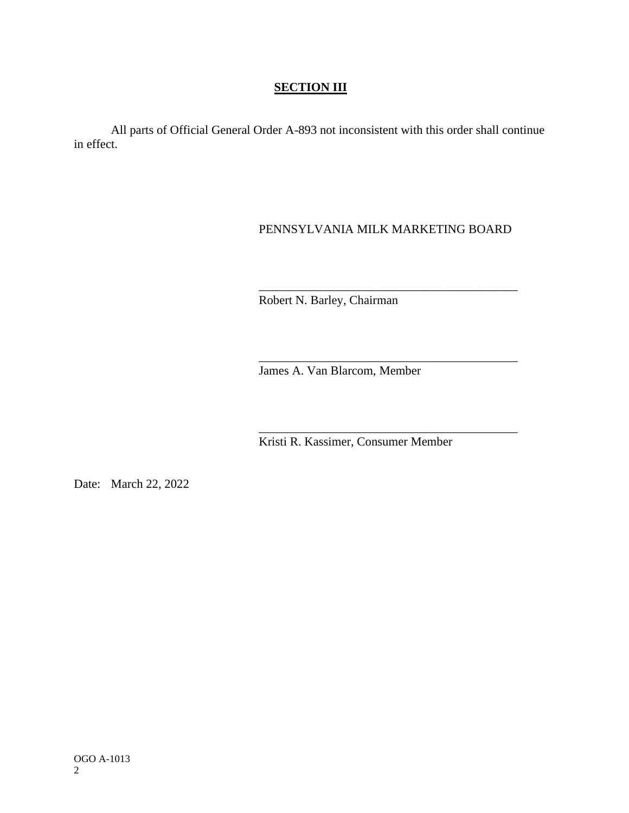## **SECTION III**

All parts of Official General Order A-893 not inconsistent with this order shall continue in effect.

# PENNSYLVANIA MILK MARKETING BOARD

\_\_\_\_\_\_\_\_\_\_\_\_\_\_\_\_\_\_\_\_\_\_\_\_\_\_\_\_\_\_\_\_\_\_\_\_\_\_\_\_\_\_

\_\_\_\_\_\_\_\_\_\_\_\_\_\_\_\_\_\_\_\_\_\_\_\_\_\_\_\_\_\_\_\_\_\_\_\_\_\_\_\_\_\_

\_\_\_\_\_\_\_\_\_\_\_\_\_\_\_\_\_\_\_\_\_\_\_\_\_\_\_\_\_\_\_\_\_\_\_\_\_\_\_\_\_\_

Robert N. Barley, Chairman

James A. Van Blarcom, Member

Kristi R. Kassimer, Consumer Member

Date: March 22, 2022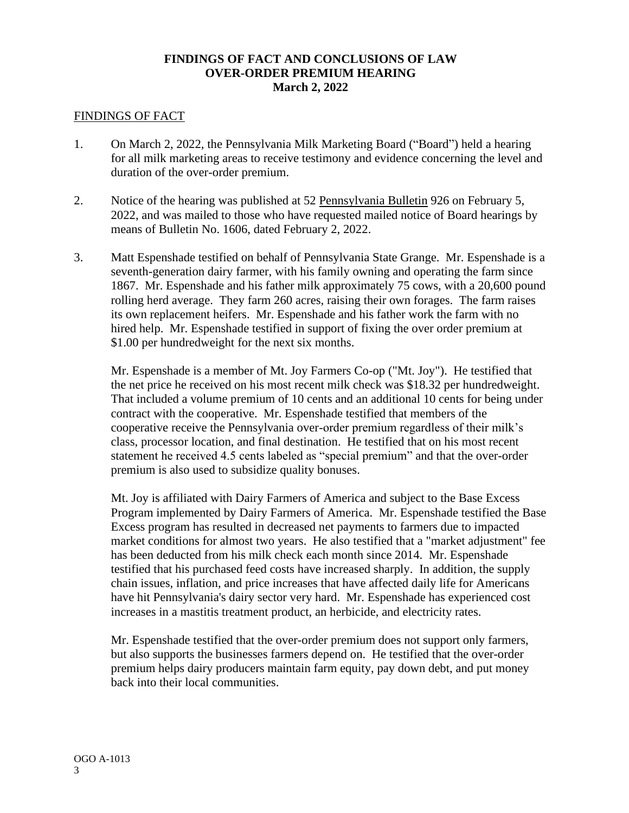#### **FINDINGS OF FACT AND CONCLUSIONS OF LAW OVER-ORDER PREMIUM HEARING March 2, 2022**

#### FINDINGS OF FACT

- 1. On March 2, 2022, the Pennsylvania Milk Marketing Board ("Board") held a hearing for all milk marketing areas to receive testimony and evidence concerning the level and duration of the over-order premium.
- 2. Notice of the hearing was published at 52 Pennsylvania Bulletin 926 on February 5, 2022, and was mailed to those who have requested mailed notice of Board hearings by means of Bulletin No. 1606, dated February 2, 2022.
- 3. Matt Espenshade testified on behalf of Pennsylvania State Grange. Mr. Espenshade is a seventh-generation dairy farmer, with his family owning and operating the farm since 1867. Mr. Espenshade and his father milk approximately 75 cows, with a 20,600 pound rolling herd average. They farm 260 acres, raising their own forages. The farm raises its own replacement heifers. Mr. Espenshade and his father work the farm with no hired help. Mr. Espenshade testified in support of fixing the over order premium at \$1.00 per hundredweight for the next six months.

Mr. Espenshade is a member of Mt. Joy Farmers Co-op ("Mt. Joy"). He testified that the net price he received on his most recent milk check was \$18.32 per hundredweight. That included a volume premium of 10 cents and an additional 10 cents for being under contract with the cooperative. Mr. Espenshade testified that members of the cooperative receive the Pennsylvania over-order premium regardless of their milk's class, processor location, and final destination. He testified that on his most recent statement he received 4.5 cents labeled as "special premium" and that the over-order premium is also used to subsidize quality bonuses.

Mt. Joy is affiliated with Dairy Farmers of America and subject to the Base Excess Program implemented by Dairy Farmers of America. Mr. Espenshade testified the Base Excess program has resulted in decreased net payments to farmers due to impacted market conditions for almost two years. He also testified that a "market adjustment" fee has been deducted from his milk check each month since 2014. Mr. Espenshade testified that his purchased feed costs have increased sharply. In addition, the supply chain issues, inflation, and price increases that have affected daily life for Americans have hit Pennsylvania's dairy sector very hard. Mr. Espenshade has experienced cost increases in a mastitis treatment product, an herbicide, and electricity rates.

Mr. Espenshade testified that the over-order premium does not support only farmers, but also supports the businesses farmers depend on. He testified that the over-order premium helps dairy producers maintain farm equity, pay down debt, and put money back into their local communities.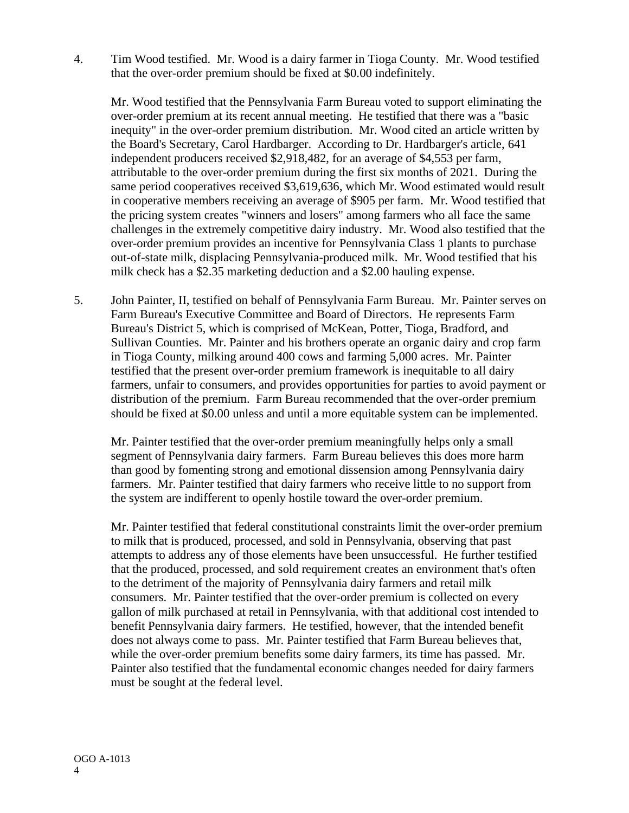4. Tim Wood testified. Mr. Wood is a dairy farmer in Tioga County. Mr. Wood testified that the over-order premium should be fixed at \$0.00 indefinitely.

Mr. Wood testified that the Pennsylvania Farm Bureau voted to support eliminating the over-order premium at its recent annual meeting. He testified that there was a "basic inequity" in the over-order premium distribution. Mr. Wood cited an article written by the Board's Secretary, Carol Hardbarger. According to Dr. Hardbarger's article, 641 independent producers received \$2,918,482, for an average of \$4,553 per farm, attributable to the over-order premium during the first six months of 2021. During the same period cooperatives received \$3,619,636, which Mr. Wood estimated would result in cooperative members receiving an average of \$905 per farm. Mr. Wood testified that the pricing system creates "winners and losers" among farmers who all face the same challenges in the extremely competitive dairy industry. Mr. Wood also testified that the over-order premium provides an incentive for Pennsylvania Class 1 plants to purchase out-of-state milk, displacing Pennsylvania-produced milk. Mr. Wood testified that his milk check has a \$2.35 marketing deduction and a \$2.00 hauling expense.

5. John Painter, II, testified on behalf of Pennsylvania Farm Bureau. Mr. Painter serves on Farm Bureau's Executive Committee and Board of Directors. He represents Farm Bureau's District 5, which is comprised of McKean, Potter, Tioga, Bradford, and Sullivan Counties. Mr. Painter and his brothers operate an organic dairy and crop farm in Tioga County, milking around 400 cows and farming 5,000 acres. Mr. Painter testified that the present over-order premium framework is inequitable to all dairy farmers, unfair to consumers, and provides opportunities for parties to avoid payment or distribution of the premium. Farm Bureau recommended that the over-order premium should be fixed at \$0.00 unless and until a more equitable system can be implemented.

Mr. Painter testified that the over-order premium meaningfully helps only a small segment of Pennsylvania dairy farmers. Farm Bureau believes this does more harm than good by fomenting strong and emotional dissension among Pennsylvania dairy farmers. Mr. Painter testified that dairy farmers who receive little to no support from the system are indifferent to openly hostile toward the over-order premium.

Mr. Painter testified that federal constitutional constraints limit the over-order premium to milk that is produced, processed, and sold in Pennsylvania, observing that past attempts to address any of those elements have been unsuccessful. He further testified that the produced, processed, and sold requirement creates an environment that's often to the detriment of the majority of Pennsylvania dairy farmers and retail milk consumers. Mr. Painter testified that the over-order premium is collected on every gallon of milk purchased at retail in Pennsylvania, with that additional cost intended to benefit Pennsylvania dairy farmers. He testified, however, that the intended benefit does not always come to pass. Mr. Painter testified that Farm Bureau believes that, while the over-order premium benefits some dairy farmers, its time has passed. Mr. Painter also testified that the fundamental economic changes needed for dairy farmers must be sought at the federal level.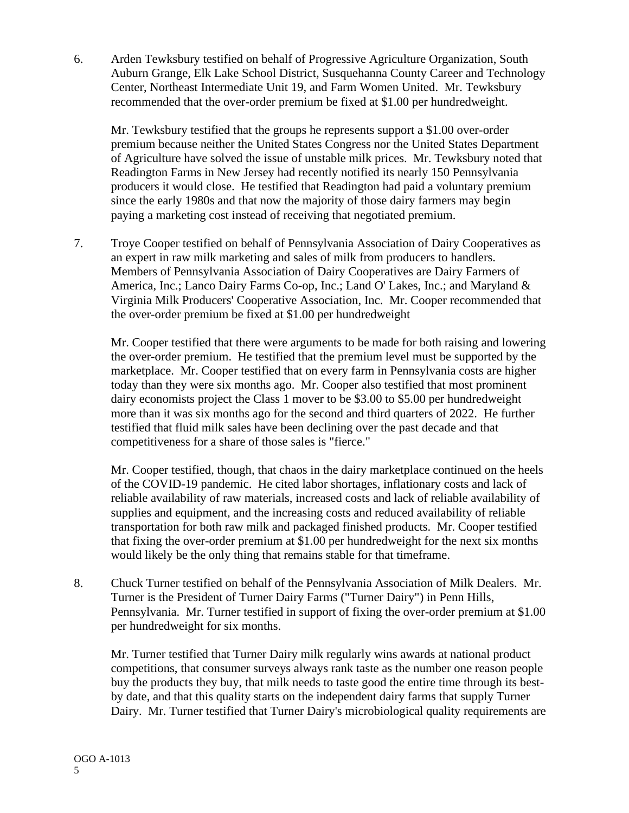6. Arden Tewksbury testified on behalf of Progressive Agriculture Organization, South Auburn Grange, Elk Lake School District, Susquehanna County Career and Technology Center, Northeast Intermediate Unit 19, and Farm Women United. Mr. Tewksbury recommended that the over-order premium be fixed at \$1.00 per hundredweight.

Mr. Tewksbury testified that the groups he represents support a \$1.00 over-order premium because neither the United States Congress nor the United States Department of Agriculture have solved the issue of unstable milk prices. Mr. Tewksbury noted that Readington Farms in New Jersey had recently notified its nearly 150 Pennsylvania producers it would close. He testified that Readington had paid a voluntary premium since the early 1980s and that now the majority of those dairy farmers may begin paying a marketing cost instead of receiving that negotiated premium.

7. Troye Cooper testified on behalf of Pennsylvania Association of Dairy Cooperatives as an expert in raw milk marketing and sales of milk from producers to handlers. Members of Pennsylvania Association of Dairy Cooperatives are Dairy Farmers of America, Inc.; Lanco Dairy Farms Co-op, Inc.; Land O' Lakes, Inc.; and Maryland & Virginia Milk Producers' Cooperative Association, Inc. Mr. Cooper recommended that the over-order premium be fixed at \$1.00 per hundredweight

Mr. Cooper testified that there were arguments to be made for both raising and lowering the over-order premium. He testified that the premium level must be supported by the marketplace. Mr. Cooper testified that on every farm in Pennsylvania costs are higher today than they were six months ago. Mr. Cooper also testified that most prominent dairy economists project the Class 1 mover to be \$3.00 to \$5.00 per hundredweight more than it was six months ago for the second and third quarters of 2022. He further testified that fluid milk sales have been declining over the past decade and that competitiveness for a share of those sales is "fierce."

Mr. Cooper testified, though, that chaos in the dairy marketplace continued on the heels of the COVID-19 pandemic. He cited labor shortages, inflationary costs and lack of reliable availability of raw materials, increased costs and lack of reliable availability of supplies and equipment, and the increasing costs and reduced availability of reliable transportation for both raw milk and packaged finished products. Mr. Cooper testified that fixing the over-order premium at \$1.00 per hundredweight for the next six months would likely be the only thing that remains stable for that timeframe.

8. Chuck Turner testified on behalf of the Pennsylvania Association of Milk Dealers. Mr. Turner is the President of Turner Dairy Farms ("Turner Dairy") in Penn Hills, Pennsylvania. Mr. Turner testified in support of fixing the over-order premium at \$1.00 per hundredweight for six months.

Mr. Turner testified that Turner Dairy milk regularly wins awards at national product competitions, that consumer surveys always rank taste as the number one reason people buy the products they buy, that milk needs to taste good the entire time through its bestby date, and that this quality starts on the independent dairy farms that supply Turner Dairy. Mr. Turner testified that Turner Dairy's microbiological quality requirements are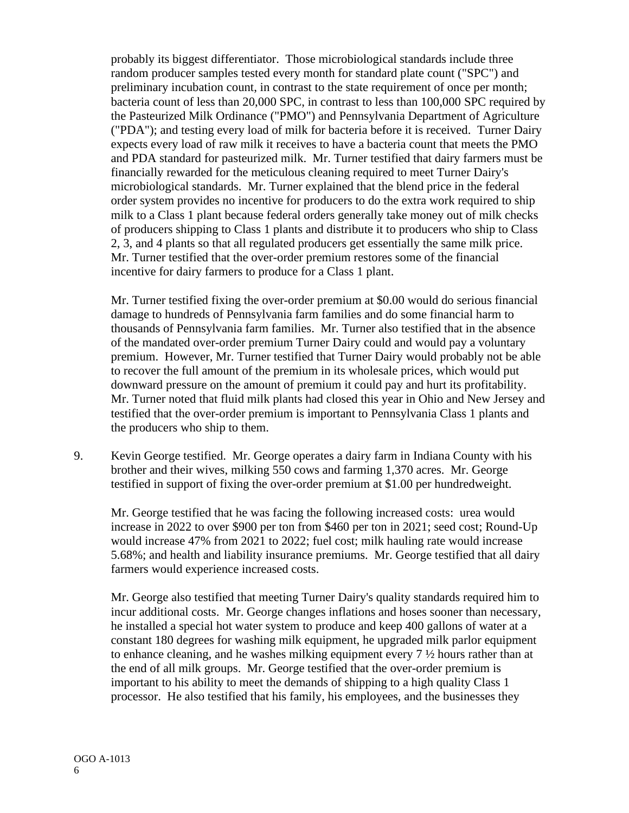probably its biggest differentiator. Those microbiological standards include three random producer samples tested every month for standard plate count ("SPC") and preliminary incubation count, in contrast to the state requirement of once per month; bacteria count of less than 20,000 SPC, in contrast to less than 100,000 SPC required by the Pasteurized Milk Ordinance ("PMO") and Pennsylvania Department of Agriculture ("PDA"); and testing every load of milk for bacteria before it is received. Turner Dairy expects every load of raw milk it receives to have a bacteria count that meets the PMO and PDA standard for pasteurized milk. Mr. Turner testified that dairy farmers must be financially rewarded for the meticulous cleaning required to meet Turner Dairy's microbiological standards. Mr. Turner explained that the blend price in the federal order system provides no incentive for producers to do the extra work required to ship milk to a Class 1 plant because federal orders generally take money out of milk checks of producers shipping to Class 1 plants and distribute it to producers who ship to Class 2, 3, and 4 plants so that all regulated producers get essentially the same milk price. Mr. Turner testified that the over-order premium restores some of the financial incentive for dairy farmers to produce for a Class 1 plant.

Mr. Turner testified fixing the over-order premium at \$0.00 would do serious financial damage to hundreds of Pennsylvania farm families and do some financial harm to thousands of Pennsylvania farm families. Mr. Turner also testified that in the absence of the mandated over-order premium Turner Dairy could and would pay a voluntary premium. However, Mr. Turner testified that Turner Dairy would probably not be able to recover the full amount of the premium in its wholesale prices, which would put downward pressure on the amount of premium it could pay and hurt its profitability. Mr. Turner noted that fluid milk plants had closed this year in Ohio and New Jersey and testified that the over-order premium is important to Pennsylvania Class 1 plants and the producers who ship to them.

9. Kevin George testified. Mr. George operates a dairy farm in Indiana County with his brother and their wives, milking 550 cows and farming 1,370 acres. Mr. George testified in support of fixing the over-order premium at \$1.00 per hundredweight.

Mr. George testified that he was facing the following increased costs: urea would increase in 2022 to over \$900 per ton from \$460 per ton in 2021; seed cost; Round-Up would increase 47% from 2021 to 2022; fuel cost; milk hauling rate would increase 5.68%; and health and liability insurance premiums. Mr. George testified that all dairy farmers would experience increased costs.

Mr. George also testified that meeting Turner Dairy's quality standards required him to incur additional costs. Mr. George changes inflations and hoses sooner than necessary, he installed a special hot water system to produce and keep 400 gallons of water at a constant 180 degrees for washing milk equipment, he upgraded milk parlor equipment to enhance cleaning, and he washes milking equipment every  $7\frac{1}{2}$  hours rather than at the end of all milk groups. Mr. George testified that the over-order premium is important to his ability to meet the demands of shipping to a high quality Class 1 processor. He also testified that his family, his employees, and the businesses they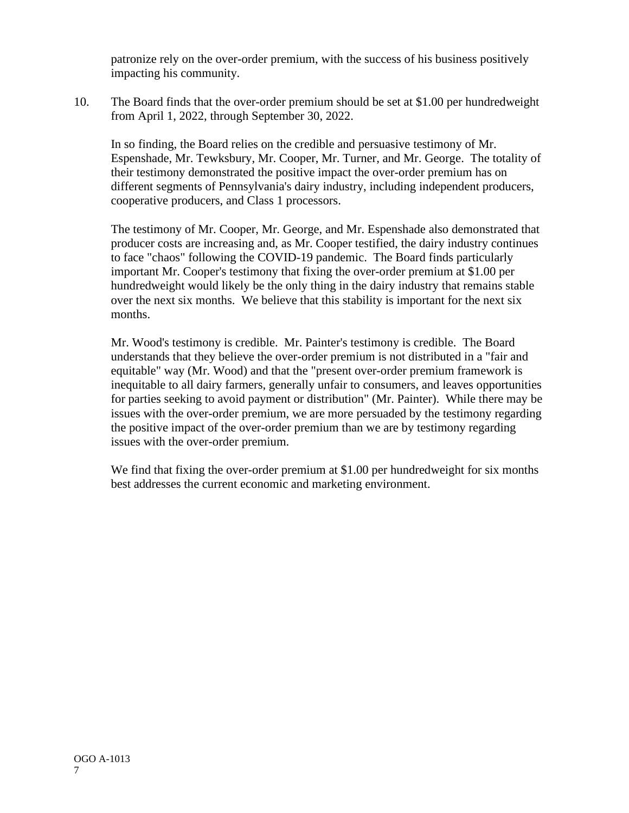patronize rely on the over-order premium, with the success of his business positively impacting his community.

10. The Board finds that the over-order premium should be set at \$1.00 per hundredweight from April 1, 2022, through September 30, 2022.

In so finding, the Board relies on the credible and persuasive testimony of Mr. Espenshade, Mr. Tewksbury, Mr. Cooper, Mr. Turner, and Mr. George. The totality of their testimony demonstrated the positive impact the over-order premium has on different segments of Pennsylvania's dairy industry, including independent producers, cooperative producers, and Class 1 processors.

The testimony of Mr. Cooper, Mr. George, and Mr. Espenshade also demonstrated that producer costs are increasing and, as Mr. Cooper testified, the dairy industry continues to face "chaos" following the COVID-19 pandemic. The Board finds particularly important Mr. Cooper's testimony that fixing the over-order premium at \$1.00 per hundredweight would likely be the only thing in the dairy industry that remains stable over the next six months. We believe that this stability is important for the next six months.

Mr. Wood's testimony is credible. Mr. Painter's testimony is credible. The Board understands that they believe the over-order premium is not distributed in a "fair and equitable" way (Mr. Wood) and that the "present over-order premium framework is inequitable to all dairy farmers, generally unfair to consumers, and leaves opportunities for parties seeking to avoid payment or distribution" (Mr. Painter). While there may be issues with the over-order premium, we are more persuaded by the testimony regarding the positive impact of the over-order premium than we are by testimony regarding issues with the over-order premium.

We find that fixing the over-order premium at \$1.00 per hundredweight for six months best addresses the current economic and marketing environment.